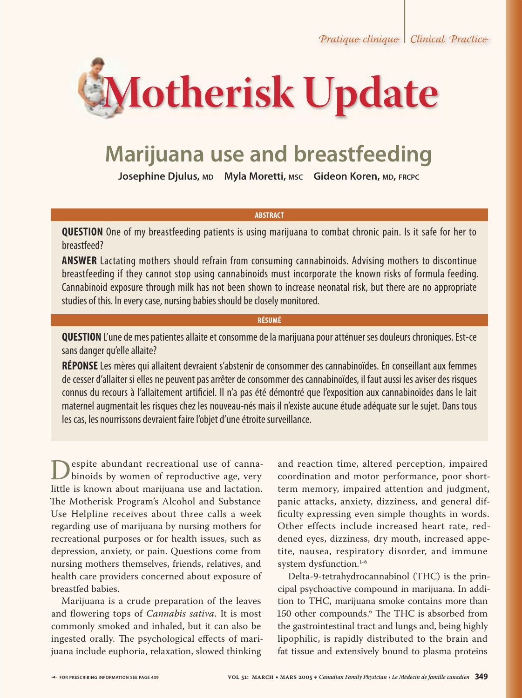*Pratique clinique | Clinical Practice* 



# **Marijuana use and breastfeeding**

**Josephine Djulus, MD Myla Moretti, MSC Gideon Koren, MD, FRCPC** 

### **ABSTRACT**

**QUESTION** One of my breastfeeding patients is using marijuana to combat chronic pain. Is it safe for her to breastfeed?

**ANSWER** Lactating mothers should refrain from consuming cannabinoids. Advising mothers to discontinue breastfeeding if they cannot stop using cannabinoids must incorporate the known risks of formula feeding. Cannabinoid exposure through milk has not been shown to increase neonatal risk, but there are no appropriate studies of this. In every case, nursing babies should be closely monitored.

### **RÉSUMÉ**

**QUESTION** L'une de mes patientes allaite et consomme de la marijuana pour atténuer ses douleurs chroniques. Est-ce sans danger qu'elle allaite?

**RÉPONSE** Les mères qui allaitent devraient s'abstenir de consommer des cannabinoïdes. En conseillant aux femmes de cesser d'allaiter si elles ne peuvent pas arrêter de consommer des cannabinoïdes, il faut aussi les aviser des risques connus du recours à l'allaitement artificiel. Il n'a pas été démontré que l'exposition aux cannabinoïdes dans le lait maternel augmentait les risques chez les nouveau-nés mais il n'existe aucune étude adéquate sur le sujet. Dans tous les cas, les nourrissons devraient faire l'objet d'une étroite surveillance.

**Despite abundant recreational use of canna-**<br>binoids by women of reproductive age, very<br>little is known about marijuana use and lactation little is known about marijuana use and lactation. The Motherisk Program's Alcohol and Substance Use Helpline receives about three calls a week regarding use of marijuana by nursing mothers for recreational purposes or for health issues, such as depression, anxiety, or pain. Questions come from nursing mothers themselves, friends, relatives, and health care providers concerned about exposure of breastfed babies.

Marijuana is a crude preparation of the leaves and flowering tops of *Cannabis sativa*. It is most commonly smoked and inhaled, but it can also be ingested orally. The psychological effects of marijuana include euphoria, relaxation, slowed thinking

and reaction time, altered perception, impaired coordination and motor performance, poor shortterm memory, impaired attention and judgment, panic attacks, anxiety, dizziness, and general difficulty expressing even simple thoughts in words. Other effects include increased heart rate, reddened eyes, dizziness, dry mouth, increased appetite, nausea, respiratory disorder, and immune system dysfunction.<sup>1-6</sup>

Delta-9-tetrahydrocannabinol (THC) is the principal psychoactive compound in marijuana. In addition to THC, marijuana smoke contains more than 150 other compounds.<sup>6</sup> The THC is absorbed from the gastrointestinal tract and lungs and, being highly lipophilic, is rapidly distributed to the brain and fat tissue and extensively bound to plasma proteins